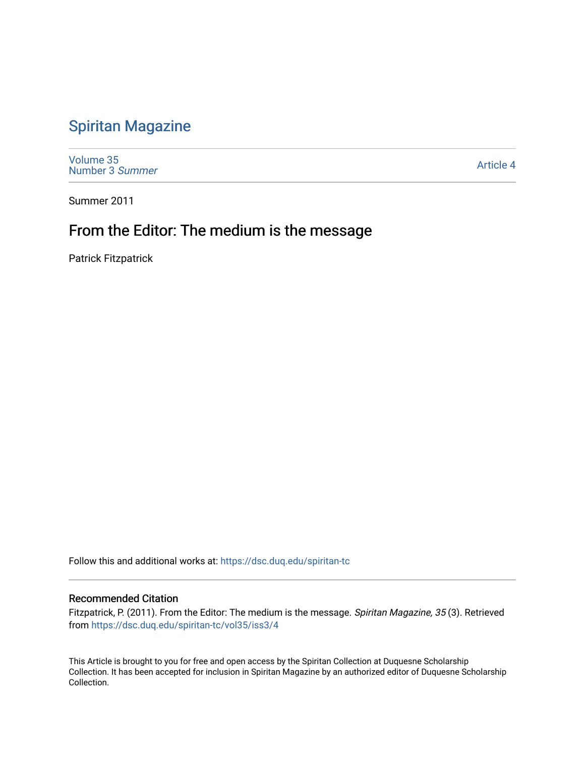# [Spiritan Magazine](https://dsc.duq.edu/spiritan-tc)

[Volume 35](https://dsc.duq.edu/spiritan-tc/vol35) [Number 3](https://dsc.duq.edu/spiritan-tc/vol35/iss3) Summer

[Article 4](https://dsc.duq.edu/spiritan-tc/vol35/iss3/4) 

Summer 2011

# From the Editor: The medium is the message

Patrick Fitzpatrick

Follow this and additional works at: [https://dsc.duq.edu/spiritan-tc](https://dsc.duq.edu/spiritan-tc?utm_source=dsc.duq.edu%2Fspiritan-tc%2Fvol35%2Fiss3%2F4&utm_medium=PDF&utm_campaign=PDFCoverPages)

#### Recommended Citation

Fitzpatrick, P. (2011). From the Editor: The medium is the message. Spiritan Magazine, 35 (3). Retrieved from [https://dsc.duq.edu/spiritan-tc/vol35/iss3/4](https://dsc.duq.edu/spiritan-tc/vol35/iss3/4?utm_source=dsc.duq.edu%2Fspiritan-tc%2Fvol35%2Fiss3%2F4&utm_medium=PDF&utm_campaign=PDFCoverPages) 

This Article is brought to you for free and open access by the Spiritan Collection at Duquesne Scholarship Collection. It has been accepted for inclusion in Spiritan Magazine by an authorized editor of Duquesne Scholarship Collection.